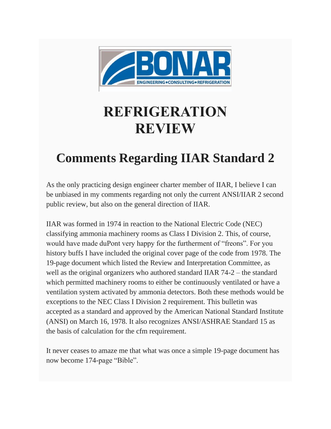

# **REFRIGERATION REVIEW**

# **Comments Regarding IIAR Standard 2**

As the only practicing design engineer charter member of IIAR, I believe I can be unbiased in my comments regarding not only the current ANSI/IIAR 2 second public review, but also on the general direction of IIAR.

IIAR was formed in 1974 in reaction to the National Electric Code (NEC) classifying ammonia machinery rooms as Class I Division 2. This, of course, would have made duPont very happy for the furtherment of "freons". For you history buffs I have included the original cover page of the code from 1978. The 19-page document which listed the Review and Interpretation Committee, as well as the original organizers who authored standard IIAR 74-2 – the standard which permitted machinery rooms to either be continuously ventilated or have a ventilation system activated by ammonia detectors. Both these methods would be exceptions to the NEC Class I Division 2 requirement. This bulletin was accepted as a standard and approved by the American National Standard Institute (ANSI) on March 16, 1978. It also recognizes ANSI/ASHRAE Standard 15 as the basis of calculation for the cfm requirement.

It never ceases to amaze me that what was once a simple 19-page document has now become 174-page "Bible".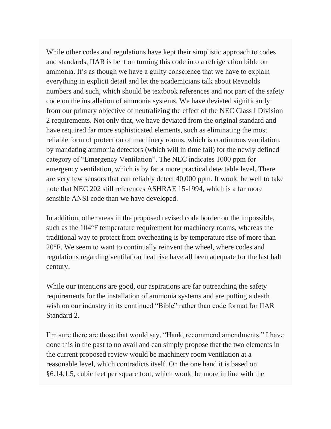While other codes and regulations have kept their simplistic approach to codes and standards, IIAR is bent on turning this code into a refrigeration bible on ammonia. It's as though we have a guilty conscience that we have to explain everything in explicit detail and let the academicians talk about Reynolds numbers and such, which should be textbook references and not part of the safety code on the installation of ammonia systems. We have deviated significantly from our primary objective of neutralizing the effect of the NEC Class I Division 2 requirements. Not only that, we have deviated from the original standard and have required far more sophisticated elements, such as eliminating the most reliable form of protection of machinery rooms, which is continuous ventilation, by mandating ammonia detectors (which will in time fail) for the newly defined category of "Emergency Ventilation". The NEC indicates 1000 ppm for emergency ventilation, which is by far a more practical detectable level. There are very few sensors that can reliably detect 40,000 ppm. It would be well to take note that NEC 202 still references ASHRAE 15-1994, which is a far more sensible ANSI code than we have developed.

In addition, other areas in the proposed revised code border on the impossible, such as the 104°F temperature requirement for machinery rooms, whereas the traditional way to protect from overheating is by temperature rise of more than 20°F. We seem to want to continually reinvent the wheel, where codes and regulations regarding ventilation heat rise have all been adequate for the last half century.

While our intentions are good, our aspirations are far outreaching the safety requirements for the installation of ammonia systems and are putting a death wish on our industry in its continued "Bible" rather than code format for IIAR Standard 2.

I'm sure there are those that would say, "Hank, recommend amendments." I have done this in the past to no avail and can simply propose that the two elements in the current proposed review would be machinery room ventilation at a reasonable level, which contradicts itself. On the one hand it is based on §6.14.1.5, cubic feet per square foot, which would be more in line with the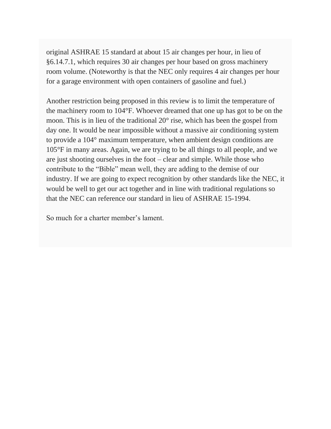original ASHRAE 15 standard at about 15 air changes per hour, in lieu of §6.14.7.1, which requires 30 air changes per hour based on gross machinery room volume. (Noteworthy is that the NEC only requires 4 air changes per hour for a garage environment with open containers of gasoline and fuel.)

Another restriction being proposed in this review is to limit the temperature of the machinery room to 104°F. Whoever dreamed that one up has got to be on the moon. This is in lieu of the traditional 20° rise, which has been the gospel from day one. It would be near impossible without a massive air conditioning system to provide a 104° maximum temperature, when ambient design conditions are 105°F in many areas. Again, we are trying to be all things to all people, and we are just shooting ourselves in the foot – clear and simple. While those who contribute to the "Bible" mean well, they are adding to the demise of our industry. If we are going to expect recognition by other standards like the NEC, it would be well to get our act together and in line with traditional regulations so that the NEC can reference our standard in lieu of ASHRAE 15-1994.

So much for a charter member's lament.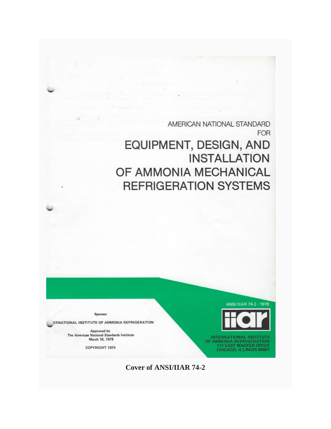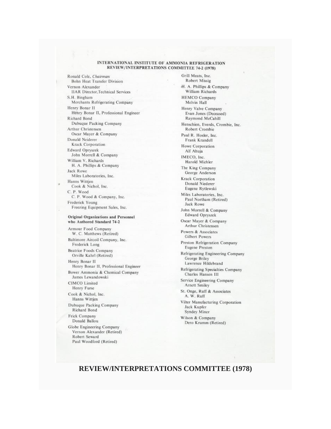## INTERNATIONAL INSTITUTE OF AMMONIA REFRIGERATION REVIEW/INTERPRETATIONS COMMITTEE 74-2 (1978)

Ronald Cole, Chairman **Bohn Heat Transfer Division** Vernon Alexander **HAR Director, Technical Services** S.H. Bingham Merchants Refrigerating Company Henry Bonar II Henry Bonar II, Professional Engineer Richard Bond Dubuque Packing Company Arthur Christensen Oscar Mayer & Company Donald Neiderer Krack Corporation Edward Opryszek John Morrell & Company William V. Richards H. A. Phillips & Company **Jack Rowe** Miles Laboratories, Inc. Hanns Wittjen Cook & Nichol, Inc. C. P. Wood C. P. Wood & Company, Inc. Frederick Young Freezing Equipment Sales, Inc.

### Original Organizations and Personnel who Authored Standard 74-2

Armour Food Company W. C. Matthews (Retired) Baltimore Aircoil Company, Inc. Frederick Long **Beatrice Foods Company** Orville Kahrl (Retired) Henry Bonar II Henry Bonar II, Professional Engineer Bower Ammonia & Chemical Company James Lewandowski CIMCO Limited Henry Furse Cook & Nichol, Inc. Hanns Wittjen Dubuque Packing Company Richard Bond Frick Company Donald Ballou Globe Engineering Company Vernon Alexander (Retired)

Robert Seward Paul Woodford (Retired)

Grill Meats, Inc. Robert Missig H. A. Phillips & Company William Richards **HEMCO Company** Melvin Hall Henry Valve Company Evan Jones (Deceased) Raymond McCahill Henschien, Everds, Crombie, Inc. Robert Crombie Paul R. Hosler, Inc. Frank Krandell Howe Corporation Alf Ahuja IMECO, Inc. Harold Michler The King Company George Anderson Krack Corporation Donald Niederer Eugene Rytlewski Miles Laboratories, Inc. Paul Northam (Retired) Jack Rowe John Morrell & Company Edward Opryszek Oscar Mayer & Company Arthur Christensen Powers & Associates **Gilbert Powers** Preston Refrigeration Company **Eugene Preston** Refrigerating Engineering Company George Briley Lawrence Hildebrand Refrigerating Specialties Company Charles Hansen III Service Engineering Company **Arnett Smiley** St. Onge, Ruff & Associates A. W. Ruff Vilter Manufacturing Corporation Jack Kupfer Syndey Miner Wilson & Company Dero Krumm (Retired)

# **REVIEW/INTERPRETATIONS COMMITTEE (1978)**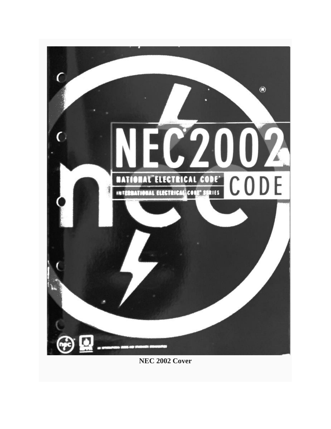

**NEC 2002 Cover**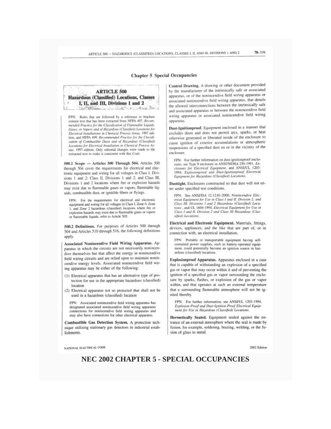## **Chapter 5 Special Occupancies**

## **ARTICLE 500 Hazardous (Classified) Locations, Classes** I, II, and III, Divisions 1 and 2

FPN: Rules that are followed by a reference in brackets contain text that has been extracted from NFPA 497, Recom mended Practice for the Classification of Flammable Liquids, Gases, or Vapors and of Hazardous (Classified) Locations for Electrical Installations in Chemical Process Areas. 1997 edition, and NFPA 499. Recommended Practice for the Classification of Combustible Dusts and of Hazardous (Classified) Locations for Electrical Installation in Chemical Process Areas. 1997 edition. Only editorial changes were made to the extracted text to make it consistent with this Code.

500.1 Scope - Articles 500 Through 504. Articles 500 through 504 cover the requirements for electrical and electronic equipment and wiring for all voltages in Class I, Divisions 1 and 2; Class II, Divisions 1 and 2; and Class III, Divisions 1 and 2 locations where fire or explosion hazards may exist due to flammable gases or vapors, flammable liquids, combustible dust, or ignitible fibers or flyings.

FPN: For the requirements for electrical and electronic equipment and wiring for all voltages in Class I. Zone 0. Zone 1. and Zone 2 hazardous (classified) locations where fire or explosion hazards may exist due to flammable gases or vapors or flammable liquids, refer to Article 505.

500.2 Definitions. For purposes of Articles 500 through 504 and Articles 510 through 516, the following definitions apply

Associated Nonincendive Field Wiring Apparatus. Apparatus in which the circuits are not necessarily nonincendive themselves but that affect the energy in nonincendive field wiring circuits and are relied upon to maintain nonincendive energy levels. Associated nonincendive field wiring apparatus may be either of the following:

- (1) Electrical apparatus that has an alternative type of protection for use in the appropriate hazardous (classified) location
- (2) Electrical apparatus not so protected that shall not be used in a hazardous (classified) location

FPN: Associated nonincendive field wiring apparatus has designated associated nonincendive field wiring apparatus connections for nonincendive field wiring apparatus and may also have connections for other electrical apparatus.

Combustible Gas Detection System. A protection technique utilizing stationary gas detectors in industrial establishments.

Control Drawing. A drawing or other document provided by the manufacturer of the intrinsically safe or associated apparatus, or of the nonincendive field wiring apparatus or associated nonincendive field wiring apparatus, that details the allowed interconnections between the intrinsically safe and associated apparatus or between the nonincendive field wiring apparatus or associated nonincendive field wiring apparatus.

Dust-Ignitionproof. Equipment enclosed in a manner that excludes dusts and does not permit arcs, sparks, or heat otherwise generated or liberated inside of the enclosure to cause ignition of exterior accumulations or atmospheric suspensions of a specified dust on or in the vicinity of the enclosure.

FPN: For further information on dust-ignitionproof enclosures, see Type 9 enclosure in ANSI/NEMA 250-1991, Enclosures for Electrical Equipment, and ANSI/UL 1203-1994, Explosionproof and Dust-Ignitionproof Electrical Equipment for Hazardous (Classified) Locations.

Dusttight, Enclosures constructed so that dust will not enter under specified test conditions.

FPN: See ANSI/ISA 12.12.01-2000. Nonincendive Electrical Equipment for Use in Class I and II, Division 2, and<br>Class III, Divisions 1 and 2 Hazardous (Classified) Locations, and UL 1604-1994, Electrical Equipment for Use in Class 1 and II, Division 2 and Class III Hazardous (Classified) Locations.

Electrical and Electronic Equipment. Materials, fittings. devices, appliances, and the like that are part of, or in connection with, an electrical installation.

FPN: Portable or transportable equipment having selfcontained power supplies, such as battery-operated equipment, could potentially become an ignition source in hazardous (classified) locations.

Explosionproof Apparatus. Apparatus enclosed in a case that is capable of withstanding an explosion of a specified gas or vapor that may occur within it and of preventing the ignition of a specified gas or vapor surrounding the enclosure by sparks, flashes, or explosion of the gas or vapor within, and that operates at such an external temperature that a surrounding flammable atmosphere will not be ignited thereby.

FPN: For further information, see ANSI/UL 1203-1994, Explosion-Proof and Dust-Ignition-Proof Electrical Equipment for Use in Hazardous (Classified) Locations.

Hermetically Sealed. Equipment sealed against the entrance of an external atmosphere where the seal is made by fusion, for example, soldering, brazing, welding, or the fusion of glass to metal.

NATIONAL ELECTRICAL CODE

2002 Edition

NEC 2002 CHAPTER 5 - SPECIAL OCCUPANCIES

#### 76.119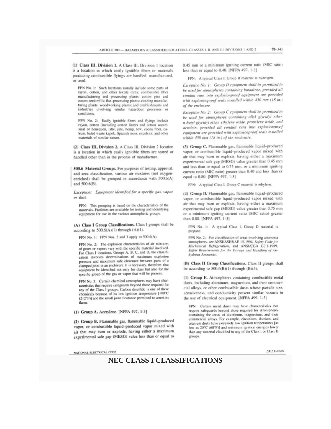(1) Class III, Division 1. A Class III, Division 1 location is a location in which easily ignitible fibers or materials producing combustible flyings are handled, manufactured, or used

FPN No. 1: Such locations usually include some parts of ravon, cotton, and other textile mills: combustible fiber manufacturing and processing plants; cotton gins and cotton-seed mills; flax-processing plants; clothing manufacturing plants; woodworking plants; and establishments and industries involving similar hazardous processes or conditions.

FPN No. 2: Easily ignitible fibers and flyings include rayon, cotton (including cotton linters and cotton waste). sisal or henequen, istle, jute, hemp, tow, cocoa fiber, oa-<br>kum, baled waste kapok. Spanish moss, excelsior, and other materials of similar nature.

(2) Class III, Division 2. A Class III, Division 2 location is a location in which easily ignitible fibers are stored or handled other than in the process of manufacture.

500.6 Material Groups. For purposes of testing. approval. and area classification, various air mixtures (not oxygenenriched) shall be grouped in accordance with 500.6(A) and 500, 6(B).

Exception: Equipment identified for a specific gas, vapor, or dust.

FPN: This grouping is based on the characteristics of the materials. Facilities are available for testing and identifying equipment for use in the various atmospheric groups.

(A) Class I Group Classifications. Class I groups shall be according to 500.6(A)(1) through (A)(4).

FPN No. 1: FPN Nos. 2 and 3 apply to 500.6(A).

FPN No. 2: The explosion characteristics of air mixtures of gases or vapors vary with the specific material involved. For Class I locations, Groups A. B. C, and D, the classification involves determinations of maximum explosion pressure and maximum safe clearance between parts of a clamped joint in an enclosure. It is necessary, therefore, that equipment be identified not only for class but also for the specific group of the gas or vapor that will be present.

FPN No. 3: Certain chemical atmospheres may have characteristics that require safeguards beyond those required for any of the Class I groups. Carbon disulfide is one of these chemicals because of its low ignition temperature [100°C (212°F)] and the small joint clearance permitted to arrest its flame

(1) Group A. Acetylene. [NFPA 497, 1-3]

(2) Group B. Flammable gas, flammable liquid-produced vapor, or combustible liquid-produced vapor mixed with air that may burn or explode, having either a maximum experimental safe gap (MESG) value less than or equal to

NATIONAL ELECTRICAL CODE

0.45 mm or a minimum igniting current ratio (MIC ratio) less than or equal to 0.40. [NFPA 497, 1-3]

FPN: A typical Class I. Group B material is hydrogen.

Exception No. 1: Group D equipment shall be permitted to he used for atmospheres containing butadiene, provided all conduit runs into explosionproof equipment are provided with explosionproof seals installed within 450 mm (18 in.) of the enclosure.

Exception No. 2: Group C equipment shall be permitted to be used for atmospheres containing allyl giveidyl ether. n-butyl glycidyl ether, ethylene oxide, propylene oxide, and acrolein, provided all conduit runs into explosionproof equipment are provided with explosionproof seals installed within 450 mm (18 in.) of the enclosure.

(3) Group C. Flammable gas. flammable liquid-produced vapor, or combustible liquid-produced vapor mixed with air that may burn or explode, having either a maximum experimental safe gap (MESG) value greater than 0.45 mm and less than or equal to 0.75 mm, or a minimum igniting current ratio (MIC ratio) greater than 0.40 and less than or equal to 0.80. [NFPA 497, 1-3]

FPN: A typical Class I. Group C material is ethylene.

(4) Group D. Flammable gas, flammable liquid-produced vapor, or combustible liquid-produced vapor mixed with air that may burn or explode, having either a maximum experimental safe gap (MESG) value greater than 0.75 mm or a minimum igniting current ratio (MIC ratio) greater than 0.80. [NFPA 497, 1-3]

FPN No. 1: A typical Class I. Group D material is propane

FPN No. 2: For elassification of areas involving ammonia atmospheres, see ANSI/ASHRAE 15-1994. Safety Code for Mechanical Refrigeration, and ANSI/CGA G2.1-1989.<br>Safety Requirements for the Storage and Handling of Anhydrous Ammonia.

(B) Class II Group Classifications, Class II groups shall be according to  $500.6$ (B)(1) through (B)(3).

(1) Group E. Atmospheres containing combustible metal dusts, including aluminum, magnesium, and their commercial alloys, or other combustible dusts whose particle size. abrasiveness, and conductivity present similar hazards in the use of electrical equipment. [NFPA 499, 1-3]

FPN: Certain metal dusts may have characteristics that require safeguards beyond those required for atmospheres containing the dusts of aluminum, magnesium, and their commercial alloys. For example, zirconium, thorium, and uranium dusts have extremely low ignition temperatures [aslow as 20°C (68°F)] and minimum ignition energies lower than any material classified in any of the Class 1 or Class II groups.

NO2 Edition

## **NEC CLASS I CLASSIFICATIONS**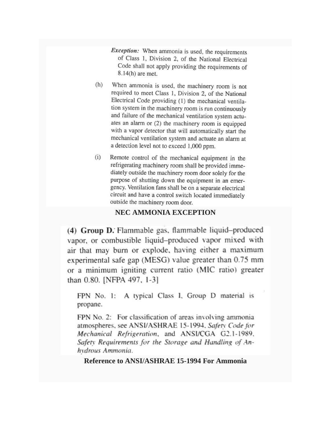- *Exception:* When ammonia is used, the requirements of Class 1, Division 2, of the National Electrical Code shall not apply providing the requirements of  $8.14(h)$  are met.
- When ammonia is used, the machinery room is not  $(h)$ required to meet Class 1, Division 2, of the National Electrical Code providing (1) the mechanical ventilation system in the machinery room is run continuously and failure of the mechanical ventilation system actuates an alarm or (2) the machinery room is equipped with a vapor detector that will automatically start the mechanical ventilation system and actuate an alarm at a detection level not to exceed 1,000 ppm.
- $(i)$ Remote control of the mechanical equipment in the refrigerating machinery room shall be provided immediately outside the machinery room door solely for the purpose of shutting down the equipment in an emergency. Ventilation fans shall be on a separate electrical circuit and have a control switch located immediately outside the machinery room door.

# **NEC AMMONIA EXCEPTION**

(4) Group D. Flammable gas, flammable liquid-produced vapor, or combustible liquid-produced vapor mixed with air that may burn or explode, having either a maximum experimental safe gap (MESG) value greater than 0.75 mm or a minimum igniting current ratio (MIC ratio) greater than 0.80. [NFPA 497, 1-3]

FPN No. 1: A typical Class 1, Group D material is propane.

FPN No. 2: For classification of areas involving ammonia atmospheres, see ANSI/ASHRAE 15-1994, Safety Code for Mechanical Refrigeration, and ANSI/CGA G2.1-1989, Safety Requirements for the Storage and Handling of Anhydrous Ammonia.

**Reference to ANSI/ASHRAE 15-1994 For Ammonia**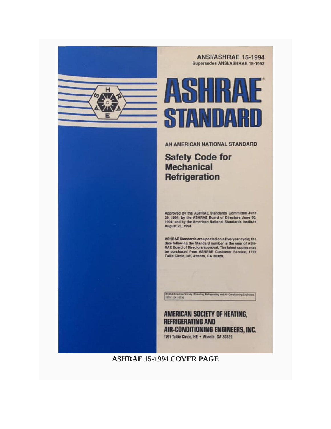

**ANSI/ASHRAE 15-1994** Supersedes ANSVASHRAE 15-1992



AN AMERICAN NATIONAL STANDARD

**Safety Code for Mechanical Refrigeration** 

Approved by the ASHRAE Standards Committee June 29, 1994; by the ASHRAE Board of Directors June 30, 1994; and by the American National Standards Institute August 23, 1994.

ASHRAE Standards are updated on a five-year cycle; the date following the Standard number is the year of ASH-RAE Board of Directors approval. The latest copies may be purchased from ASHRAE Customer Service, 1791 Tullie Circle, NE, Atlanta, GA 30329.

01994 American Society of Heating, Refrigerating and Air-Conditioning Engineers.<br>195N 1041-2336

**AMERICAN SOCIETY OF HEATING. REFRIGERATING AND** AIR-CONDITIONING ENGINEERS, INC. 1791 Tullie Circle, NE . Atlanta, GA 30329

# **ASHRAE 15-1994 COVER PAGE**